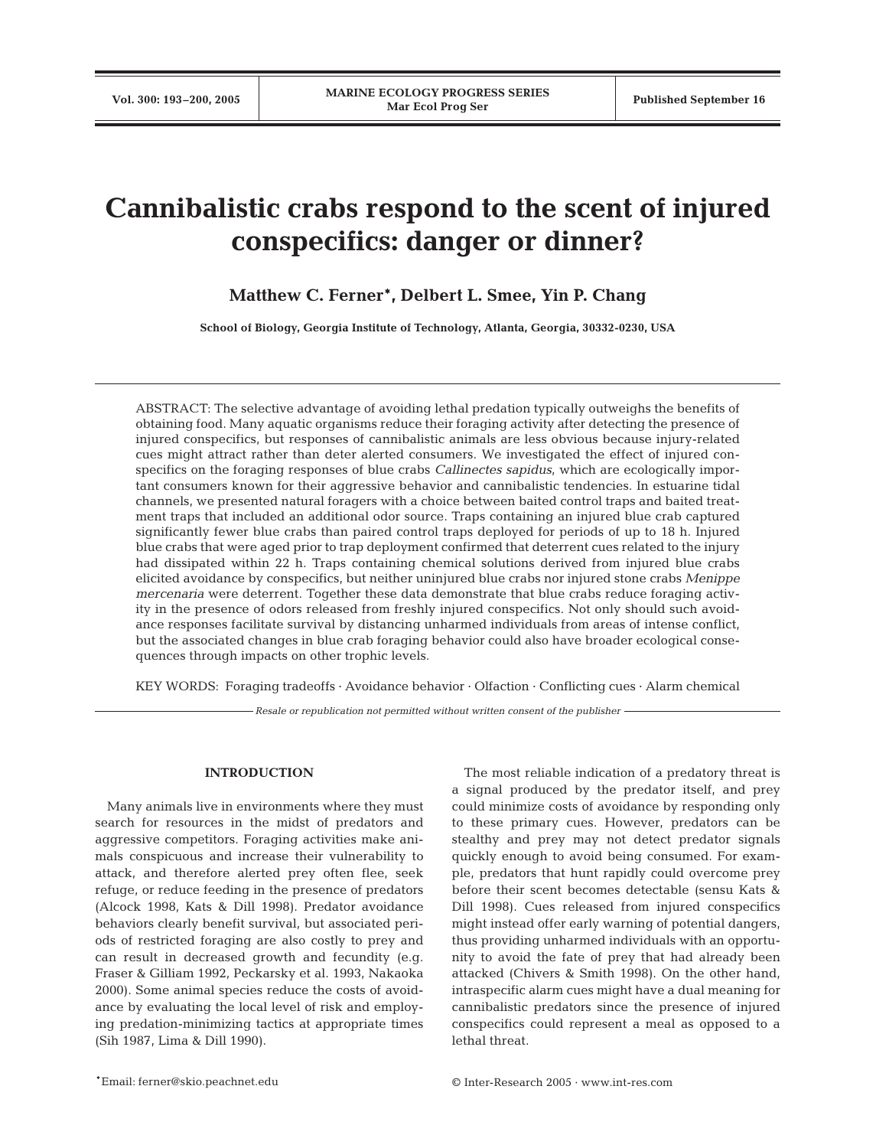# **Cannibalistic crabs respond to the scent of injured conspecifics: danger or dinner?**

## **Matthew C. Ferner\*, Delbert L. Smee, Yin P. Chang**

**School of Biology, Georgia Institute of Technology, Atlanta, Georgia, 30332-0230, USA**

ABSTRACT: The selective advantage of avoiding lethal predation typically outweighs the benefits of obtaining food. Many aquatic organisms reduce their foraging activity after detecting the presence of injured conspecifics, but responses of cannibalistic animals are less obvious because injury-related cues might attract rather than deter alerted consumers. We investigated the effect of injured conspecifics on the foraging responses of blue crabs *Callinectes sapidus*, which are ecologically important consumers known for their aggressive behavior and cannibalistic tendencies. In estuarine tidal channels, we presented natural foragers with a choice between baited control traps and baited treatment traps that included an additional odor source. Traps containing an injured blue crab captured significantly fewer blue crabs than paired control traps deployed for periods of up to 18 h. Injured blue crabs that were aged prior to trap deployment confirmed that deterrent cues related to the injury had dissipated within 22 h. Traps containing chemical solutions derived from injured blue crabs elicited avoidance by conspecifics, but neither uninjured blue crabs nor injured stone crabs *Menippe mercenaria* were deterrent. Together these data demonstrate that blue crabs reduce foraging activity in the presence of odors released from freshly injured conspecifics. Not only should such avoidance responses facilitate survival by distancing unharmed individuals from areas of intense conflict, but the associated changes in blue crab foraging behavior could also have broader ecological consequences through impacts on other trophic levels.

KEY WORDS: Foraging tradeoffs · Avoidance behavior · Olfaction · Conflicting cues · Alarm chemical

*Resale or republication not permitted without written consent of the publisher*

## **INTRODUCTION**

Many animals live in environments where they must search for resources in the midst of predators and aggressive competitors. Foraging activities make animals conspicuous and increase their vulnerability to attack, and therefore alerted prey often flee, seek refuge, or reduce feeding in the presence of predators (Alcock 1998, Kats & Dill 1998). Predator avoidance behaviors clearly benefit survival, but associated periods of restricted foraging are also costly to prey and can result in decreased growth and fecundity (e.g. Fraser & Gilliam 1992, Peckarsky et al. 1993, Nakaoka 2000). Some animal species reduce the costs of avoidance by evaluating the local level of risk and employing predation-minimizing tactics at appropriate times (Sih 1987, Lima & Dill 1990).

The most reliable indication of a predatory threat is a signal produced by the predator itself, and prey could minimize costs of avoidance by responding only to these primary cues. However, predators can be stealthy and prey may not detect predator signals quickly enough to avoid being consumed. For example, predators that hunt rapidly could overcome prey before their scent becomes detectable (sensu Kats & Dill 1998). Cues released from injured conspecifics might instead offer early warning of potential dangers, thus providing unharmed individuals with an opportunity to avoid the fate of prey that had already been attacked (Chivers & Smith 1998). On the other hand, intraspecific alarm cues might have a dual meaning for cannibalistic predators since the presence of injured conspecifics could represent a meal as opposed to a lethal threat.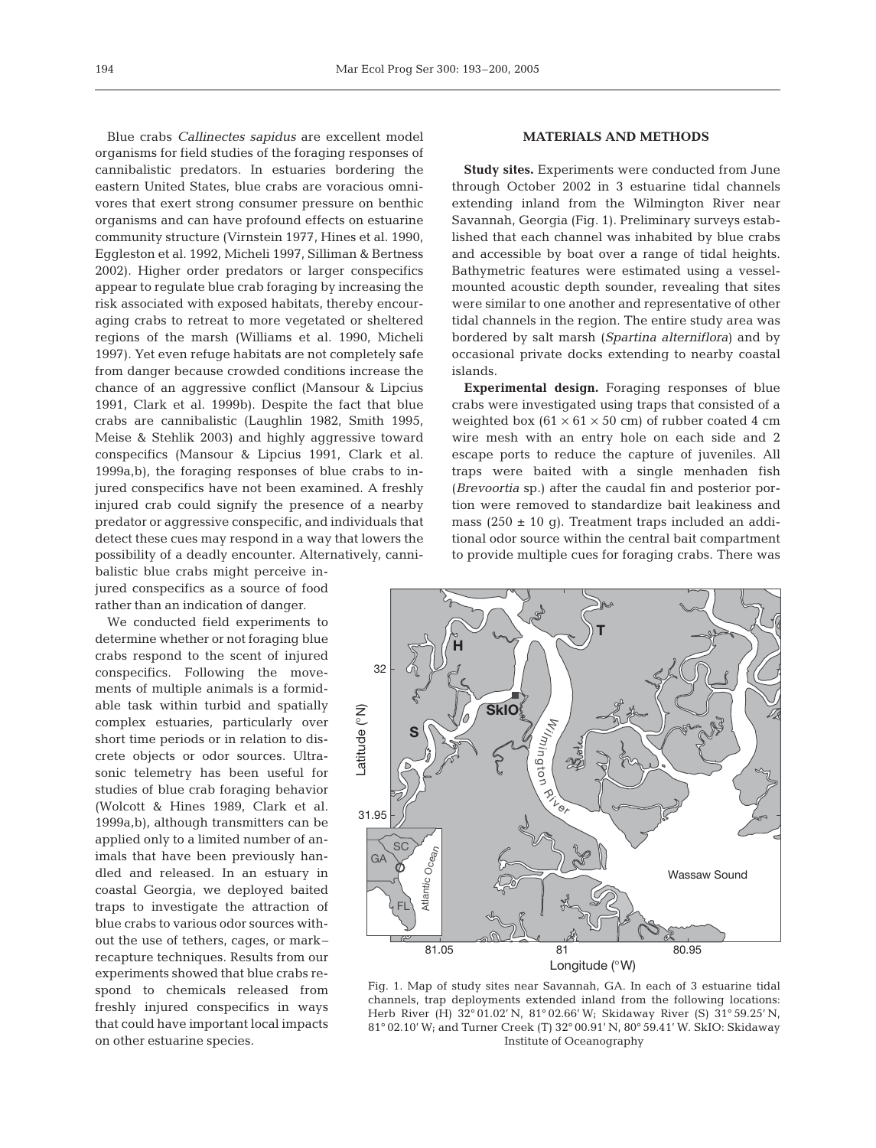Blue crabs *Callinectes sapidus* are excellent model organisms for field studies of the foraging responses of cannibalistic predators. In estuaries bordering the eastern United States, blue crabs are voracious omnivores that exert strong consumer pressure on benthic organisms and can have profound effects on estuarine community structure (Virnstein 1977, Hines et al. 1990, Eggleston et al. 1992, Micheli 1997, Silliman & Bertness 2002). Higher order predators or larger conspecifics appear to regulate blue crab foraging by increasing the risk associated with exposed habitats, thereby encouraging crabs to retreat to more vegetated or sheltered regions of the marsh (Williams et al. 1990, Micheli 1997). Yet even refuge habitats are not completely safe from danger because crowded conditions increase the chance of an aggressive conflict (Mansour & Lipcius 1991, Clark et al. 1999b). Despite the fact that blue crabs are cannibalistic (Laughlin 1982, Smith 1995, Meise & Stehlik 2003) and highly aggressive toward conspecifics (Mansour & Lipcius 1991, Clark et al. 1999a,b), the foraging responses of blue crabs to injured conspecifics have not been examined. A freshly injured crab could signify the presence of a nearby predator or aggressive conspecific, and individuals that detect these cues may respond in a way that lowers the possibility of a deadly encounter. Alternatively, canni-

balistic blue crabs might perceive injured conspecifics as a source of food rather than an indication of danger.

We conducted field experiments to determine whether or not foraging blue crabs respond to the scent of injured conspecifics. Following the movements of multiple animals is a formidable task within turbid and spatially complex estuaries, particularly over short time periods or in relation to discrete objects or odor sources. Ultrasonic telemetry has been useful for studies of blue crab foraging behavior (Wolcott & Hines 1989, Clark et al. 1999a,b), although transmitters can be applied only to a limited number of animals that have been previously handled and released. In an estuary in coastal Georgia, we deployed baited traps to investigate the attraction of blue crabs to various odor sources without the use of tethers, cages, or mark– recapture techniques. Results from our experiments showed that blue crabs respond to chemicals released from freshly injured conspecifics in ways that could have important local impacts on other estuarine species.

## **MATERIALS AND METHODS**

**Study sites.** Experiments were conducted from June through October 2002 in 3 estuarine tidal channels extending inland from the Wilmington River near Savannah, Georgia (Fig. 1). Preliminary surveys established that each channel was inhabited by blue crabs and accessible by boat over a range of tidal heights. Bathymetric features were estimated using a vesselmounted acoustic depth sounder, revealing that sites were similar to one another and representative of other tidal channels in the region. The entire study area was bordered by salt marsh (*Spartina alterniflora*) and by occasional private docks extending to nearby coastal islands.

**Experimental design.** Foraging responses of blue crabs were investigated using traps that consisted of a weighted box  $(61 \times 61 \times 50$  cm) of rubber coated 4 cm wire mesh with an entry hole on each side and 2 escape ports to reduce the capture of juveniles. All traps were baited with a single menhaden fish (*Brevoortia* sp.) after the caudal fin and posterior portion were removed to standardize bait leakiness and mass (250  $\pm$  10 g). Treatment traps included an additional odor source within the central bait compartment to provide multiple cues for foraging crabs. There was



Fig. 1. Map of study sites near Savannah, GA. In each of 3 estuarine tidal channels, trap deployments extended inland from the following locations: Herb River (H) 32° 01.02' N, 81° 02.66' W; Skidaway River (S) 31° 59.25' N, 81° 02.10' W; and Turner Creek (T) 32° 00.91' N, 80° 59.41' W. SkIO: Skidaway Institute of Oceanography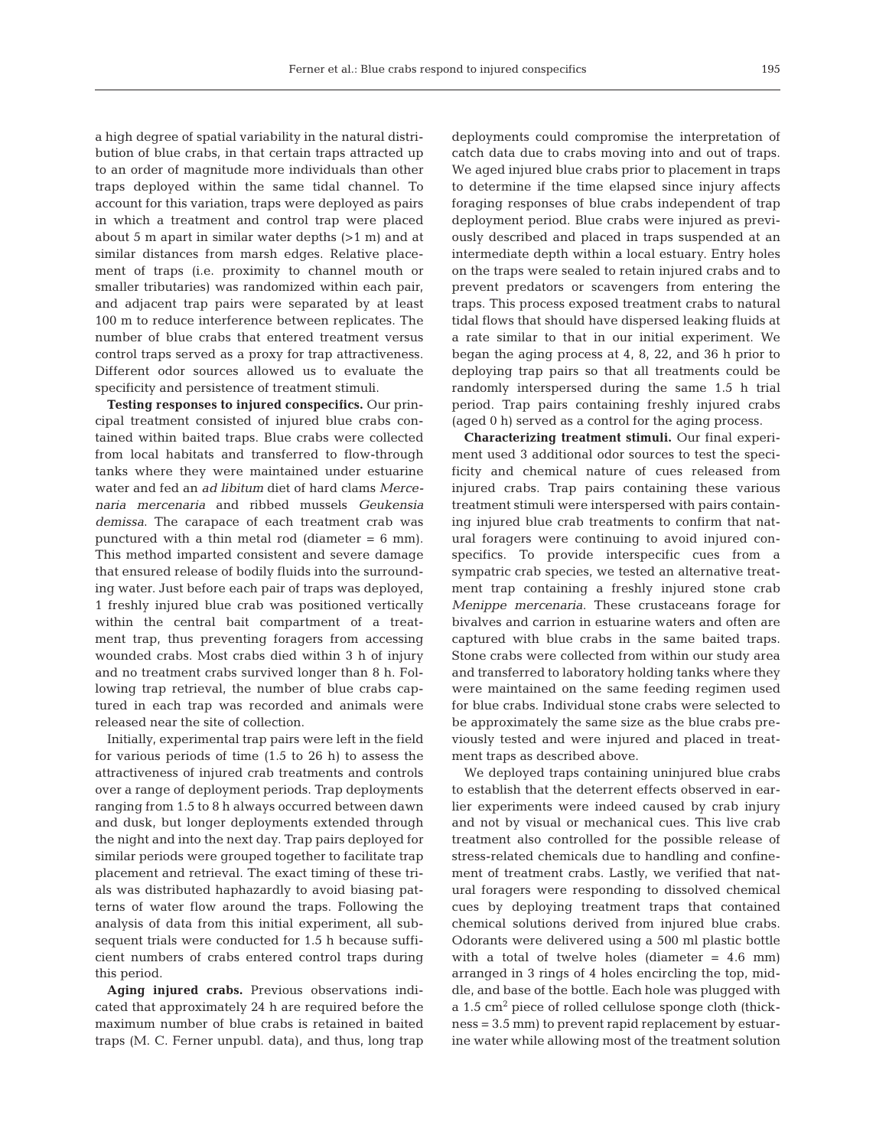a high degree of spatial variability in the natural distribution of blue crabs, in that certain traps attracted up to an order of magnitude more individuals than other traps deployed within the same tidal channel. To account for this variation, traps were deployed as pairs in which a treatment and control trap were placed about 5 m apart in similar water depths (>1 m) and at similar distances from marsh edges. Relative placement of traps (i.e. proximity to channel mouth or smaller tributaries) was randomized within each pair, and adjacent trap pairs were separated by at least 100 m to reduce interference between replicates. The number of blue crabs that entered treatment versus control traps served as a proxy for trap attractiveness. Different odor sources allowed us to evaluate the specificity and persistence of treatment stimuli.

**Testing responses to injured conspecifics.** Our principal treatment consisted of injured blue crabs contained within baited traps. Blue crabs were collected from local habitats and transferred to flow-through tanks where they were maintained under estuarine water and fed an *ad libitum* diet of hard clams *Mercenaria mercenaria* and ribbed mussels *Geukensia demissa*. The carapace of each treatment crab was punctured with a thin metal rod (diameter = 6 mm). This method imparted consistent and severe damage that ensured release of bodily fluids into the surrounding water. Just before each pair of traps was deployed, 1 freshly injured blue crab was positioned vertically within the central bait compartment of a treatment trap, thus preventing foragers from accessing wounded crabs. Most crabs died within 3 h of injury and no treatment crabs survived longer than 8 h. Following trap retrieval, the number of blue crabs captured in each trap was recorded and animals were released near the site of collection.

Initially, experimental trap pairs were left in the field for various periods of time (1.5 to 26 h) to assess the attractiveness of injured crab treatments and controls over a range of deployment periods. Trap deployments ranging from 1.5 to 8 h always occurred between dawn and dusk, but longer deployments extended through the night and into the next day. Trap pairs deployed for similar periods were grouped together to facilitate trap placement and retrieval. The exact timing of these trials was distributed haphazardly to avoid biasing patterns of water flow around the traps. Following the analysis of data from this initial experiment, all subsequent trials were conducted for 1.5 h because sufficient numbers of crabs entered control traps during this period.

**Aging injured crabs.** Previous observations indicated that approximately 24 h are required before the maximum number of blue crabs is retained in baited traps (M. C. Ferner unpubl. data), and thus, long trap deployments could compromise the interpretation of catch data due to crabs moving into and out of traps. We aged injured blue crabs prior to placement in traps to determine if the time elapsed since injury affects foraging responses of blue crabs independent of trap deployment period. Blue crabs were injured as previously described and placed in traps suspended at an intermediate depth within a local estuary. Entry holes on the traps were sealed to retain injured crabs and to prevent predators or scavengers from entering the traps. This process exposed treatment crabs to natural tidal flows that should have dispersed leaking fluids at a rate similar to that in our initial experiment. We began the aging process at 4, 8, 22, and 36 h prior to deploying trap pairs so that all treatments could be randomly interspersed during the same 1.5 h trial period. Trap pairs containing freshly injured crabs (aged 0 h) served as a control for the aging process.

**Characterizing treatment stimuli.** Our final experiment used 3 additional odor sources to test the specificity and chemical nature of cues released from injured crabs. Trap pairs containing these various treatment stimuli were interspersed with pairs containing injured blue crab treatments to confirm that natural foragers were continuing to avoid injured conspecifics. To provide interspecific cues from a sympatric crab species, we tested an alternative treatment trap containing a freshly injured stone crab *Menippe mercenaria*. These crustaceans forage for bivalves and carrion in estuarine waters and often are captured with blue crabs in the same baited traps. Stone crabs were collected from within our study area and transferred to laboratory holding tanks where they were maintained on the same feeding regimen used for blue crabs. Individual stone crabs were selected to be approximately the same size as the blue crabs previously tested and were injured and placed in treatment traps as described above.

We deployed traps containing uninjured blue crabs to establish that the deterrent effects observed in earlier experiments were indeed caused by crab injury and not by visual or mechanical cues. This live crab treatment also controlled for the possible release of stress-related chemicals due to handling and confinement of treatment crabs. Lastly, we verified that natural foragers were responding to dissolved chemical cues by deploying treatment traps that contained chemical solutions derived from injured blue crabs. Odorants were delivered using a 500 ml plastic bottle with a total of twelve holes (diameter = 4.6 mm) arranged in 3 rings of 4 holes encircling the top, middle, and base of the bottle. Each hole was plugged with a 1.5  $\text{cm}^2$  piece of rolled cellulose sponge cloth (thickness = 3.5 mm) to prevent rapid replacement by estuarine water while allowing most of the treatment solution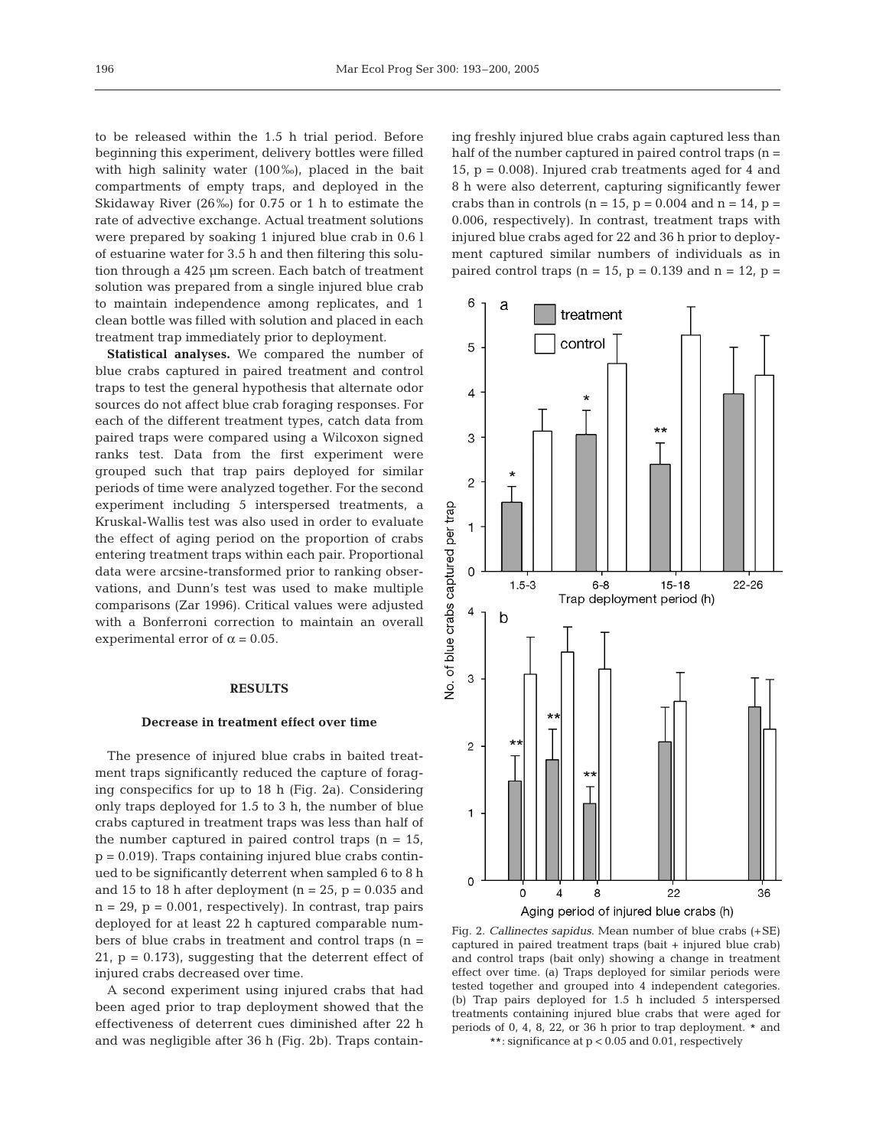to be released within the 1.5 h trial period. Before beginning this experiment, delivery bottles were filled with high salinity water (100‰), placed in the bait compartments of empty traps, and deployed in the Skidaway River (26‰) for 0.75 or 1 h to estimate the rate of advective exchange. Actual treatment solutions were prepared by soaking 1 injured blue crab in 0.6 l of estuarine water for 3.5 h and then filtering this solution through a 425 µm screen. Each batch of treatment solution was prepared from a single injured blue crab to maintain independence among replicates, and 1 clean bottle was filled with solution and placed in each treatment trap immediately prior to deployment.

**Statistical analyses.** We compared the number of blue crabs captured in paired treatment and control traps to test the general hypothesis that alternate odor sources do not affect blue crab foraging responses. For each of the different treatment types, catch data from paired traps were compared using a Wilcoxon signed ranks test. Data from the first experiment were grouped such that trap pairs deployed for similar periods of time were analyzed together. For the second experiment including 5 interspersed treatments, a Kruskal-Wallis test was also used in order to evaluate the effect of aging period on the proportion of crabs entering treatment traps within each pair. Proportional data were arcsine-transformed prior to ranking observations, and Dunn's test was used to make multiple comparisons (Zar 1996). Critical values were adjusted with a Bonferroni correction to maintain an overall experimental error of  $\alpha = 0.05$ .

### **RESULTS**

#### **Decrease in treatment effect over time**

The presence of injured blue crabs in baited treatment traps significantly reduced the capture of foraging conspecifics for up to 18 h (Fig. 2a). Considering only traps deployed for 1.5 to 3 h, the number of blue crabs captured in treatment traps was less than half of the number captured in paired control traps  $(n = 15)$ ,  $p = 0.019$ . Traps containing injured blue crabs continued to be significantly deterrent when sampled 6 to 8 h and 15 to 18 h after deployment ( $n = 25$ ,  $p = 0.035$  and  $n = 29$ ,  $p = 0.001$ , respectively). In contrast, trap pairs deployed for at least 22 h captured comparable numbers of blue crabs in treatment and control traps  $(n =$ 21,  $p = 0.173$ , suggesting that the deterrent effect of injured crabs decreased over time.

A second experiment using injured crabs that had been aged prior to trap deployment showed that the effectiveness of deterrent cues diminished after 22 h and was negligible after 36 h (Fig. 2b). Traps containing freshly injured blue crabs again captured less than half of the number captured in paired control traps  $(n =$ 15,  $p = 0.008$ . Injured crab treatments aged for 4 and 8 h were also deterrent, capturing significantly fewer crabs than in controls ( $n = 15$ ,  $p = 0.004$  and  $n = 14$ ,  $p =$ 0.006, respectively). In contrast, treatment traps with injured blue crabs aged for 22 and 36 h prior to deployment captured similar numbers of individuals as in paired control traps  $(n = 15, p = 0.139$  and  $n = 12, p =$ 



Fig. 2. *Callinectes sapidus*. Mean number of blue crabs (+SE) captured in paired treatment traps (bait + injured blue crab) and control traps (bait only) showing a change in treatment effect over time. (a) Traps deployed for similar periods were tested together and grouped into 4 independent categories. (b) Trap pairs deployed for 1.5 h included 5 interspersed treatments containing injured blue crabs that were aged for periods of 0, 4, 8, 22, or 36 h prior to trap deployment. # and \*\*: significance at  $p < 0.05$  and 0.01, respectively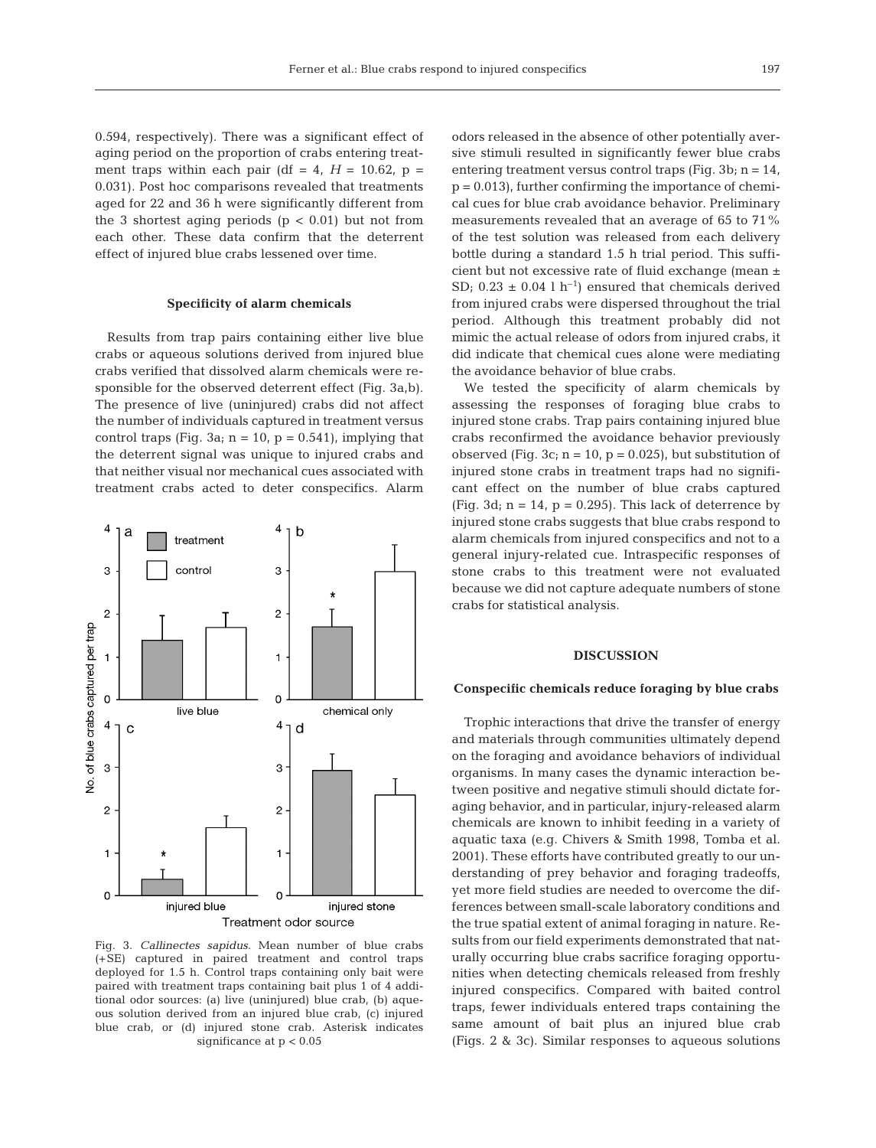0.594, respectively). There was a significant effect of aging period on the proportion of crabs entering treatment traps within each pair (df = 4,  $H = 10.62$ , p = 0.031). Post hoc comparisons revealed that treatments aged for 22 and 36 h were significantly different from the 3 shortest aging periods  $(p < 0.01)$  but not from each other. These data confirm that the deterrent effect of injured blue crabs lessened over time.

#### **Specificity of alarm chemicals**

Results from trap pairs containing either live blue crabs or aqueous solutions derived from injured blue crabs verified that dissolved alarm chemicals were responsible for the observed deterrent effect (Fig. 3a,b). The presence of live (uninjured) crabs did not affect the number of individuals captured in treatment versus control traps (Fig. 3a;  $n = 10$ ,  $p = 0.541$ ), implying that the deterrent signal was unique to injured crabs and that neither visual nor mechanical cues associated with treatment crabs acted to deter conspecifics. Alarm



Fig. 3. *Callinectes sapidus*. Mean number of blue crabs (+SE) captured in paired treatment and control traps deployed for 1.5 h. Control traps containing only bait were paired with treatment traps containing bait plus 1 of 4 additional odor sources: (a) live (uninjured) blue crab, (b) aqueous solution derived from an injured blue crab, (c) injured blue crab, or (d) injured stone crab. Asterisk indicates significance at p < 0.05

odors released in the absence of other potentially aversive stimuli resulted in significantly fewer blue crabs entering treatment versus control traps (Fig. 3b;  $n = 14$ ,  $p = 0.013$ , further confirming the importance of chemical cues for blue crab avoidance behavior. Preliminary measurements revealed that an average of 65 to 71% of the test solution was released from each delivery bottle during a standard 1.5 h trial period. This sufficient but not excessive rate of fluid exchange (mean ± SD;  $0.23 \pm 0.04 \, 1 \, \text{h}^{-1}$ ) ensured that chemicals derived from injured crabs were dispersed throughout the trial period. Although this treatment probably did not mimic the actual release of odors from injured crabs, it did indicate that chemical cues alone were mediating the avoidance behavior of blue crabs.

We tested the specificity of alarm chemicals by assessing the responses of foraging blue crabs to injured stone crabs. Trap pairs containing injured blue crabs reconfirmed the avoidance behavior previously observed (Fig.  $3c$ ; n = 10, p = 0.025), but substitution of injured stone crabs in treatment traps had no significant effect on the number of blue crabs captured (Fig. 3d;  $n = 14$ ,  $p = 0.295$ ). This lack of deterrence by injured stone crabs suggests that blue crabs respond to alarm chemicals from injured conspecifics and not to a general injury-related cue. Intraspecific responses of stone crabs to this treatment were not evaluated because we did not capture adequate numbers of stone crabs for statistical analysis.

## **DISCUSSION**

#### **Conspecific chemicals reduce foraging by blue crabs**

Trophic interactions that drive the transfer of energy and materials through communities ultimately depend on the foraging and avoidance behaviors of individual organisms. In many cases the dynamic interaction between positive and negative stimuli should dictate foraging behavior, and in particular, injury-released alarm chemicals are known to inhibit feeding in a variety of aquatic taxa (e.g. Chivers & Smith 1998, Tomba et al. 2001). These efforts have contributed greatly to our understanding of prey behavior and foraging tradeoffs, yet more field studies are needed to overcome the differences between small-scale laboratory conditions and the true spatial extent of animal foraging in nature. Results from our field experiments demonstrated that naturally occurring blue crabs sacrifice foraging opportunities when detecting chemicals released from freshly injured conspecifics. Compared with baited control traps, fewer individuals entered traps containing the same amount of bait plus an injured blue crab (Figs. 2 & 3c). Similar responses to aqueous solutions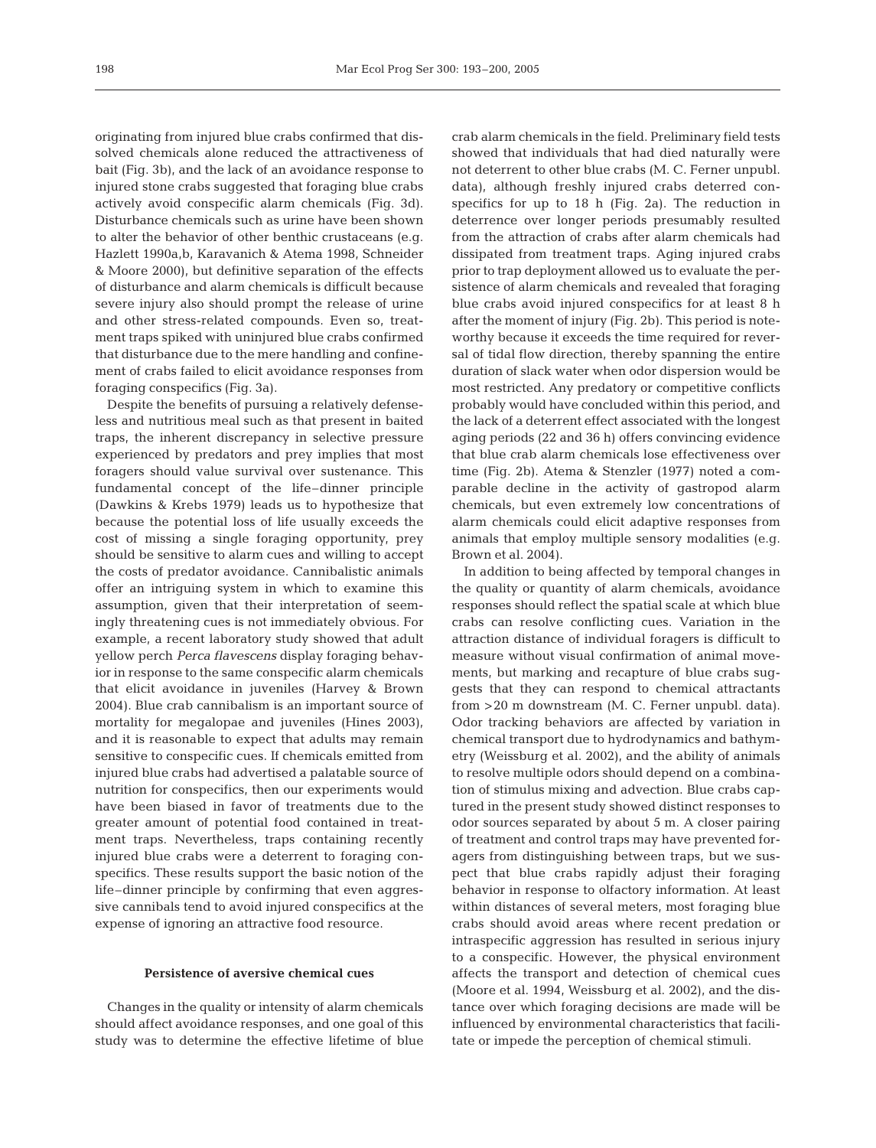originating from injured blue crabs confirmed that dissolved chemicals alone reduced the attractiveness of bait (Fig. 3b), and the lack of an avoidance response to injured stone crabs suggested that foraging blue crabs actively avoid conspecific alarm chemicals (Fig. 3d). Disturbance chemicals such as urine have been shown to alter the behavior of other benthic crustaceans (e.g. Hazlett 1990a,b, Karavanich & Atema 1998, Schneider & Moore 2000), but definitive separation of the effects of disturbance and alarm chemicals is difficult because severe injury also should prompt the release of urine and other stress-related compounds. Even so, treatment traps spiked with uninjured blue crabs confirmed that disturbance due to the mere handling and confinement of crabs failed to elicit avoidance responses from foraging conspecifics (Fig. 3a).

Despite the benefits of pursuing a relatively defenseless and nutritious meal such as that present in baited traps, the inherent discrepancy in selective pressure experienced by predators and prey implies that most foragers should value survival over sustenance. This fundamental concept of the life–dinner principle (Dawkins & Krebs 1979) leads us to hypothesize that because the potential loss of life usually exceeds the cost of missing a single foraging opportunity, prey should be sensitive to alarm cues and willing to accept the costs of predator avoidance. Cannibalistic animals offer an intriguing system in which to examine this assumption, given that their interpretation of seemingly threatening cues is not immediately obvious. For example, a recent laboratory study showed that adult yellow perch *Perca flavescens* display foraging behavior in response to the same conspecific alarm chemicals that elicit avoidance in juveniles (Harvey & Brown 2004). Blue crab cannibalism is an important source of mortality for megalopae and juveniles (Hines 2003), and it is reasonable to expect that adults may remain sensitive to conspecific cues. If chemicals emitted from injured blue crabs had advertised a palatable source of nutrition for conspecifics, then our experiments would have been biased in favor of treatments due to the greater amount of potential food contained in treatment traps. Nevertheless, traps containing recently injured blue crabs were a deterrent to foraging conspecifics. These results support the basic notion of the life–dinner principle by confirming that even aggressive cannibals tend to avoid injured conspecifics at the expense of ignoring an attractive food resource.

#### **Persistence of aversive chemical cues**

Changes in the quality or intensity of alarm chemicals should affect avoidance responses, and one goal of this study was to determine the effective lifetime of blue

crab alarm chemicals in the field. Preliminary field tests showed that individuals that had died naturally were not deterrent to other blue crabs (M. C. Ferner unpubl. data), although freshly injured crabs deterred conspecifics for up to 18 h (Fig. 2a). The reduction in deterrence over longer periods presumably resulted from the attraction of crabs after alarm chemicals had dissipated from treatment traps. Aging injured crabs prior to trap deployment allowed us to evaluate the persistence of alarm chemicals and revealed that foraging blue crabs avoid injured conspecifics for at least 8 h after the moment of injury (Fig. 2b). This period is noteworthy because it exceeds the time required for reversal of tidal flow direction, thereby spanning the entire duration of slack water when odor dispersion would be most restricted. Any predatory or competitive conflicts probably would have concluded within this period, and the lack of a deterrent effect associated with the longest aging periods (22 and 36 h) offers convincing evidence that blue crab alarm chemicals lose effectiveness over time (Fig. 2b). Atema & Stenzler (1977) noted a comparable decline in the activity of gastropod alarm chemicals, but even extremely low concentrations of alarm chemicals could elicit adaptive responses from animals that employ multiple sensory modalities (e.g. Brown et al. 2004).

In addition to being affected by temporal changes in the quality or quantity of alarm chemicals, avoidance responses should reflect the spatial scale at which blue crabs can resolve conflicting cues. Variation in the attraction distance of individual foragers is difficult to measure without visual confirmation of animal movements, but marking and recapture of blue crabs suggests that they can respond to chemical attractants from >20 m downstream (M. C. Ferner unpubl. data). Odor tracking behaviors are affected by variation in chemical transport due to hydrodynamics and bathymetry (Weissburg et al. 2002), and the ability of animals to resolve multiple odors should depend on a combination of stimulus mixing and advection. Blue crabs captured in the present study showed distinct responses to odor sources separated by about 5 m. A closer pairing of treatment and control traps may have prevented foragers from distinguishing between traps, but we suspect that blue crabs rapidly adjust their foraging behavior in response to olfactory information. At least within distances of several meters, most foraging blue crabs should avoid areas where recent predation or intraspecific aggression has resulted in serious injury to a conspecific. However, the physical environment affects the transport and detection of chemical cues (Moore et al. 1994, Weissburg et al. 2002), and the distance over which foraging decisions are made will be influenced by environmental characteristics that facilitate or impede the perception of chemical stimuli.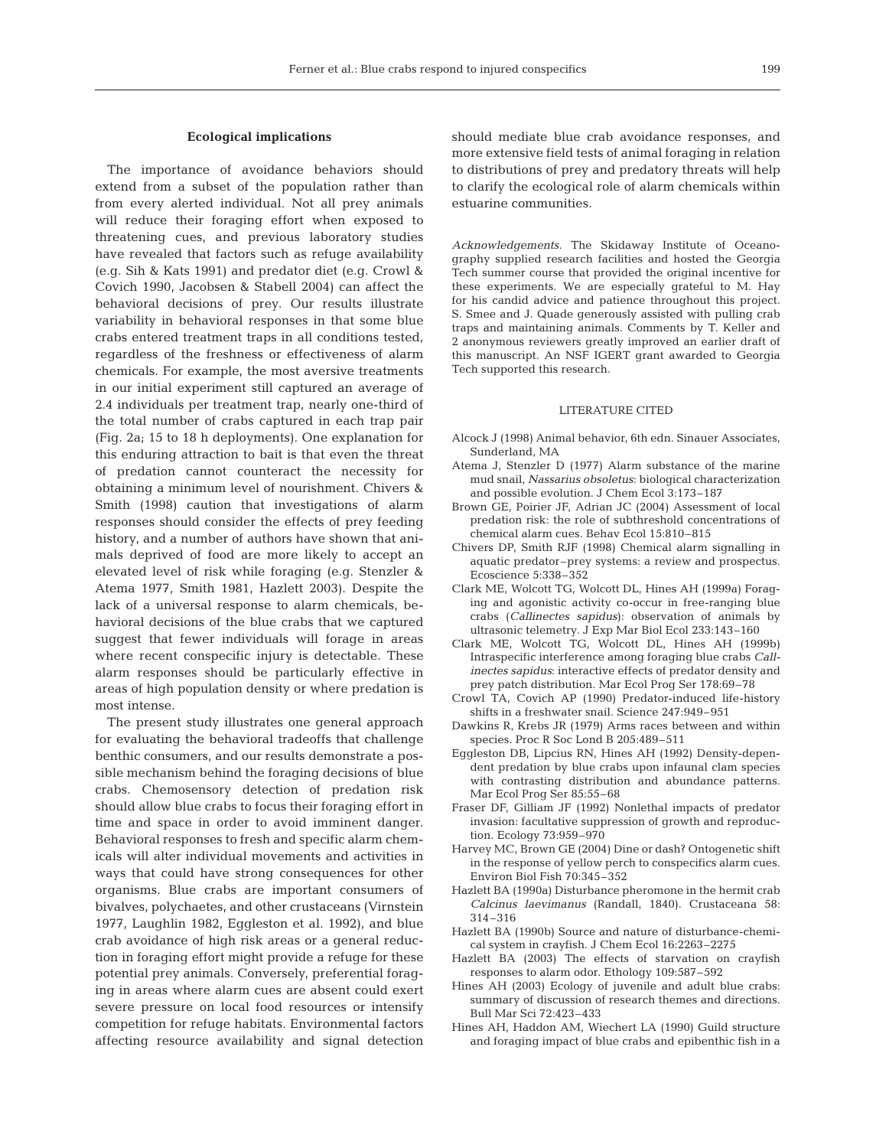#### 199

### **Ecological implications**

The importance of avoidance behaviors should extend from a subset of the population rather than from every alerted individual. Not all prey animals will reduce their foraging effort when exposed to threatening cues, and previous laboratory studies have revealed that factors such as refuge availability (e.g. Sih & Kats 1991) and predator diet (e.g. Crowl & Covich 1990, Jacobsen & Stabell 2004) can affect the behavioral decisions of prey. Our results illustrate variability in behavioral responses in that some blue crabs entered treatment traps in all conditions tested, regardless of the freshness or effectiveness of alarm chemicals. For example, the most aversive treatments in our initial experiment still captured an average of 2.4 individuals per treatment trap, nearly one-third of the total number of crabs captured in each trap pair (Fig. 2a; 15 to 18 h deployments). One explanation for this enduring attraction to bait is that even the threat of predation cannot counteract the necessity for obtaining a minimum level of nourishment. Chivers & Smith (1998) caution that investigations of alarm responses should consider the effects of prey feeding history, and a number of authors have shown that animals deprived of food are more likely to accept an elevated level of risk while foraging (e.g. Stenzler & Atema 1977, Smith 1981, Hazlett 2003). Despite the lack of a universal response to alarm chemicals, behavioral decisions of the blue crabs that we captured suggest that fewer individuals will forage in areas where recent conspecific injury is detectable. These alarm responses should be particularly effective in areas of high population density or where predation is most intense.

The present study illustrates one general approach for evaluating the behavioral tradeoffs that challenge benthic consumers, and our results demonstrate a possible mechanism behind the foraging decisions of blue crabs. Chemosensory detection of predation risk should allow blue crabs to focus their foraging effort in time and space in order to avoid imminent danger. Behavioral responses to fresh and specific alarm chemicals will alter individual movements and activities in ways that could have strong consequences for other organisms. Blue crabs are important consumers of bivalves, polychaetes, and other crustaceans (Virnstein 1977, Laughlin 1982, Eggleston et al. 1992), and blue crab avoidance of high risk areas or a general reduction in foraging effort might provide a refuge for these potential prey animals. Conversely, preferential foraging in areas where alarm cues are absent could exert severe pressure on local food resources or intensify competition for refuge habitats. Environmental factors affecting resource availability and signal detection

should mediate blue crab avoidance responses, and more extensive field tests of animal foraging in relation to distributions of prey and predatory threats will help to clarify the ecological role of alarm chemicals within estuarine communities.

*Acknowledgements*. The Skidaway Institute of Oceanography supplied research facilities and hosted the Georgia Tech summer course that provided the original incentive for these experiments. We are especially grateful to M. Hay for his candid advice and patience throughout this project. S. Smee and J. Quade generously assisted with pulling crab traps and maintaining animals. Comments by T. Keller and 2 anonymous reviewers greatly improved an earlier draft of this manuscript. An NSF IGERT grant awarded to Georgia Tech supported this research.

## LITERATURE CITED

- Alcock J (1998) Animal behavior, 6th edn. Sinauer Associates, Sunderland, MA
- Atema J, Stenzler D (1977) Alarm substance of the marine mud snail, *Nassarius obsoletus*: biological characterization and possible evolution. J Chem Ecol 3:173–187
- Brown GE, Poirier JF, Adrian JC (2004) Assessment of local predation risk: the role of subthreshold concentrations of chemical alarm cues. Behav Ecol 15:810–815
- Chivers DP, Smith RJF (1998) Chemical alarm signalling in aquatic predator–prey systems: a review and prospectus. Ecoscience 5:338–352
- Clark ME, Wolcott TG, Wolcott DL, Hines AH (1999a) Foraging and agonistic activity co-occur in free-ranging blue crabs (*Callinectes sapidus*): observation of animals by ultrasonic telemetry. J Exp Mar Biol Ecol 233:143–160
- Clark ME, Wolcott TG, Wolcott DL, Hines AH (1999b) Intraspecific interference among foraging blue crabs *Callinectes sapidus*: interactive effects of predator density and prey patch distribution. Mar Ecol Prog Ser 178:69–78
- Crowl TA, Covich AP (1990) Predator-induced life-history shifts in a freshwater snail. Science 247:949–951
- Dawkins R, Krebs JR (1979) Arms races between and within species. Proc R Soc Lond B 205:489–511
- Eggleston DB, Lipcius RN, Hines AH (1992) Density-dependent predation by blue crabs upon infaunal clam species with contrasting distribution and abundance patterns. Mar Ecol Prog Ser 85:55–68
- Fraser DF, Gilliam JF (1992) Nonlethal impacts of predator invasion: facultative suppression of growth and reproduction. Ecology 73:959–970
- Harvey MC, Brown GE (2004) Dine or dash? Ontogenetic shift in the response of yellow perch to conspecifics alarm cues. Environ Biol Fish 70:345–352
- Hazlett BA (1990a) Disturbance pheromone in the hermit crab *Calcinus laevimanus* (Randall, 1840). Crustaceana 58: 314–316
- Hazlett BA (1990b) Source and nature of disturbance-chemical system in crayfish. J Chem Ecol 16:2263–2275
- Hazlett BA (2003) The effects of starvation on crayfish responses to alarm odor. Ethology 109:587–592
- Hines AH (2003) Ecology of juvenile and adult blue crabs: summary of discussion of research themes and directions. Bull Mar Sci 72:423–433
- Hines AH, Haddon AM, Wiechert LA (1990) Guild structure and foraging impact of blue crabs and epibenthic fish in a